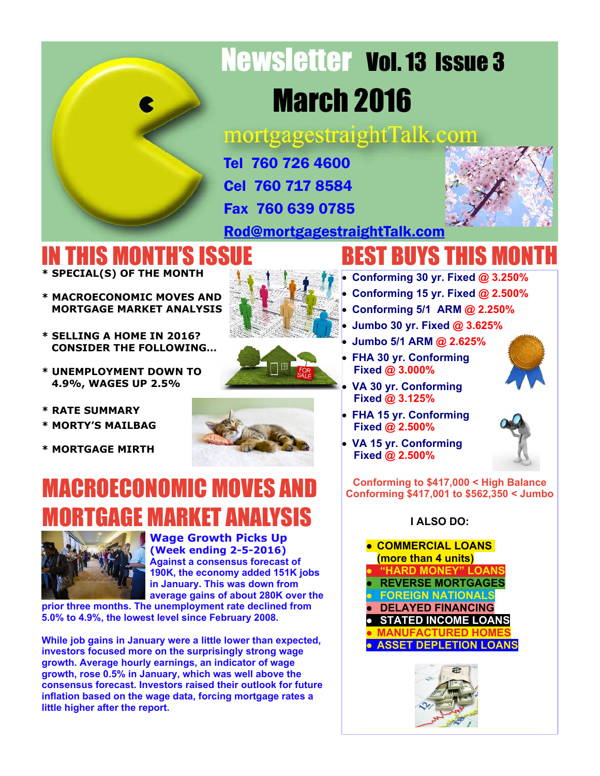# Newsletter Vol. 13 Issue 3 March 2016

mortgagestraightTalk.com

Tel 760 726 4600 Cel 760 717 8584

Fax 760 639 0785

[Rod@mortgagestraightTalk.com](mailto:Rod@MortgageStraightTalk.com)

### IN THIS MONTH'S ISSUE **\* SPECIAL(S) OF THE MONTH**

- **\* MACROECONOMIC MOVES AND MORTGAGE MARKET ANALYSIS**
- **\* SELLING A HOME IN 2016? CONSIDER THE FOLLOWING…**
- **\* UNEMPLOYMENT DOWN TO 4.9%, WAGES UP 2.5%**
- **\* RATE SUMMARY**
- **\* MORTY'S MAILBAG**
- **\* MORTGAGE MIRTH**

### MACROECONOMIC MOVES AND MORTGAGE MARKET ANALYSIS



### **Wage Growth Picks Up (Week ending 2-5-2016)**

**Against a consensus forecast of 190K, the economy added 151K jobs in January. This was down from average gains of about 280K over the**

**prior three months. The unemployment rate declined from 5.0% to 4.9%, the lowest level since February 2008.**

**While job gains in January were a little lower than expected, investors focused more on the surprisingly strong wage growth. Average hourly earnings, an indicator of wage growth, rose 0.5% in January, which was well above the consensus forecast. Investors raised their outlook for future inflation based on the wage data, forcing mortgage rates a little higher after the report.**

## BEST BUYS THIS MONTH

- · **Conforming 30 yr. Fixed @ 3.250%**
- · **Conforming 15 yr. Fixed @ 2.500%**
- · **Conforming 5/1 ARM @ 2.250%**
- · **Jumbo 30 yr. Fixed @ 3.625%**
- · **Jumbo 5/1 ARM @ 2.625%**
- · **FHA 30 yr. Conforming Fixed @ 3.000%**
- · **VA 30 yr. Conforming Fixed @ 3.125%**
- · **FHA 15 yr. Conforming Fixed @ 2.500%**
- · **VA 15 yr. Conforming Fixed @ 2.500%**

**Conforming to \$417,000 < High Balance Conforming \$417,001 to \$562,350 < Jumbo**

### **I ALSO DO:**









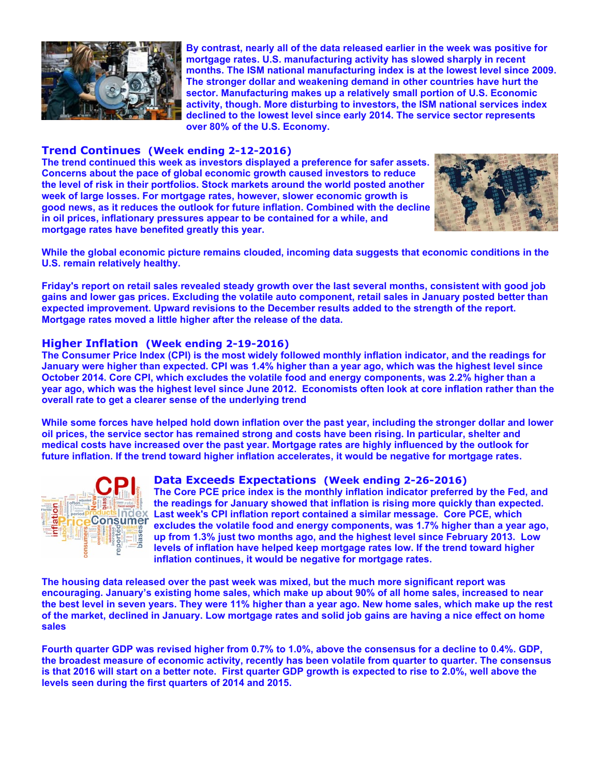

**By contrast, nearly all of the data released earlier in the week was positive for mortgage rates. U.S. manufacturing activity has slowed sharply in recent months. The ISM national manufacturing index is at the lowest level since 2009. The stronger dollar and weakening demand in other countries have hurt the sector. Manufacturing makes up a relatively small portion of U.S. Economic activity, though. More disturbing to investors, the ISM national services index declined to the lowest level since early 2014. The service sector represents over 80% of the U.S. Economy.**

#### **Trend Continues (Week ending 2-12-2016)**

**The trend continued this week as investors displayed a preference for safer assets. Concerns about the pace of global economic growth caused investors to reduce the level of risk in their portfolios. Stock markets around the world posted another week of large losses. For mortgage rates, however, slower economic growth is good news, as it reduces the outlook for future inflation. Combined with the decline in oil prices, inflationary pressures appear to be contained for a while, and mortgage rates have benefited greatly this year.**



**While the global economic picture remains clouded, incoming data suggests that economic conditions in the U.S. remain relatively healthy.**

**Friday's report on retail sales revealed steady growth over the last several months, consistent with good job gains and lower gas prices. Excluding the volatile auto component, retail sales in January posted better than expected improvement. Upward revisions to the December results added to the strength of the report. Mortgage rates moved a little higher after the release of the data.**

#### **Higher Inflation (Week ending 2-19-2016)**

**The Consumer Price Index (CPI) is the most widely followed monthly inflation indicator, and the readings for January were higher than expected. CPI was 1.4% higher than a year ago, which was the highest level since October 2014. Core CPI, which excludes the volatile food and energy components, was 2.2% higher than a year ago, which was the highest level since June 2012. Economists often look at core inflation rather than the overall rate to get a clearer sense of the underlying trend**

**While some forces have helped hold down inflation over the past year, including the stronger dollar and lower oil prices, the service sector has remained strong and costs have been rising. In particular, shelter and medical costs have increased over the past year. Mortgage rates are highly influenced by the outlook for future inflation. If the trend toward higher inflation accelerates, it would be negative for mortgage rates.**



#### **Data Exceeds Expectations (Week ending 2-26-2016)**

**The Core PCE price index is the monthly inflation indicator preferred by the Fed, and the readings for January showed that inflation is rising more quickly than expected. Last week's CPI inflation report contained a similar message. Core PCE, which excludes the volatile food and energy components, was 1.7% higher than a year ago, up from 1.3% just two months ago, and the highest level since February 2013. Low levels of inflation have helped keep mortgage rates low. If the trend toward higher inflation continues, it would be negative for mortgage rates.**

**The housing data released over the past week was mixed, but the much more significant report was encouraging. January's existing home sales, which make up about 90% of all home sales, increased to near the best level in seven years. They were 11% higher than a year ago. New home sales, which make up the rest of the market, declined in January. Low mortgage rates and solid job gains are having a nice effect on home sales**

**Fourth quarter GDP was revised higher from 0.7% to 1.0%, above the consensus for a decline to 0.4%. GDP, the broadest measure of economic activity, recently has been volatile from quarter to quarter. The consensus is that 2016 will start on a better note. First quarter GDP growth is expected to rise to 2.0%, well above the levels seen during the first quarters of 2014 and 2015.**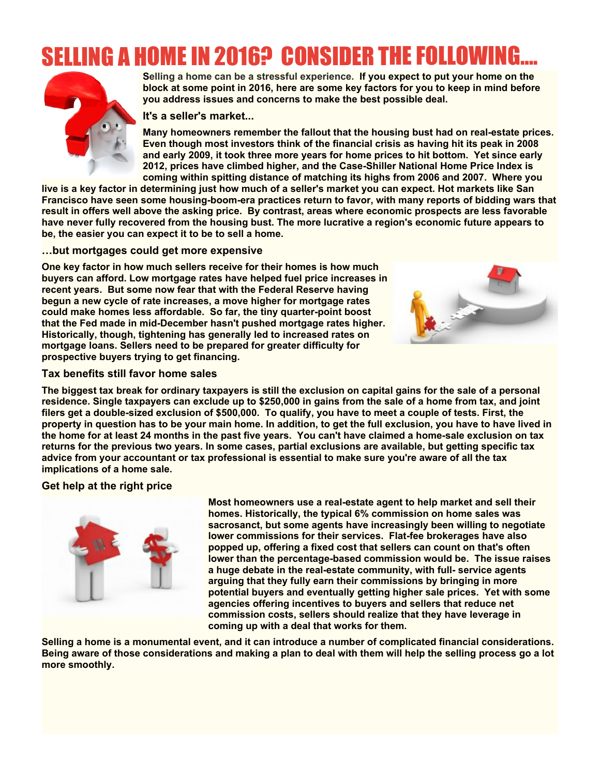## ELLING A HOME IN 2016? CONSIDER THE FOLLOW



**Selling a home can be a stressful experience. If you expect to put your home on the block at some point in 2016, here are some key factors for you to keep in mind before you address issues and concerns to make the best possible deal.**

#### **It's a seller's market...**

**Many homeowners remember the fallout that the housing bust had on real-estate prices. Even though most investors think of the financial crisis as having hit its peak in 2008 and early 2009, it took three more years for home prices to hit bottom. Yet since early 2012, prices have climbed higher, and the Case-Shiller National Home Price Index is coming within spitting distance of matching its highs from 2006 and 2007. Where you**

**live is a key factor in determining just how much of a seller's market you can expect. Hot markets like San Francisco have seen some housing-boom-era practices return to favor, with many reports of bidding wars that result in offers well above the asking price. By contrast, areas where economic prospects are less favorable have never fully recovered from the housing bust. The more lucrative a region's economic future appears to be, the easier you can expect it to be to sell a home.**

#### **…but mortgages could get more expensive**

**One key factor in how much sellers receive for their homes is how much buyers can afford. Low mortgage rates have helped fuel price increases in recent years. But some now fear that with the Federal Reserve having begun a new cycle of rate increases, a move higher for mortgage rates could make homes less affordable. So far, the tiny quarter-point boost that the Fed made in mid-December hasn't pushed mortgage rates higher. Historically, though, tightening has generally led to increased rates on mortgage loans. Sellers need to be prepared for greater difficulty for prospective buyers trying to get financing.**



#### **Tax benefits still favor home sales**

**The biggest tax break for ordinary taxpayers is still the exclusion on capital gains for the sale of a personal residence. Single taxpayers can exclude up to \$250,000 in gains from the sale of a home from tax, and joint filers get a double-sized exclusion of \$500,000. To qualify, you have to meet a couple of tests. First, the property in question has to be your main home. In addition, to get the full exclusion, you have to have lived in the home for at least 24 months in the past five years. You can't have claimed a home-sale exclusion on tax returns for the previous two years. In some cases, partial exclusions are available, but getting specific tax advice from your accountant or tax professional is essential to make sure you're aware of all the tax implications of a home sale.**

### **Get help at the right price**



**Most homeowners use a real-estate agent to help market and sell their homes. Historically, the typical 6% commission on home sales was sacrosanct, but some agents have increasingly been willing to negotiate lower commissions for their services. Flat-fee brokerages have also popped up, offering a fixed cost that sellers can count on that's often lower than the percentage-based commission would be. The issue raises a huge debate in the real-estate community, with full- service agents arguing that they fully earn their commissions by bringing in more potential buyers and eventually getting higher sale prices. Yet with some agencies offering incentives to buyers and sellers that reduce net commission costs, sellers should realize that they have leverage in coming up with a deal that works for them.**

**Selling a home is a monumental event, and it can introduce a number of complicated financial considerations. Being aware of those considerations and making a plan to deal with them will help the selling process go a lot more smoothly.**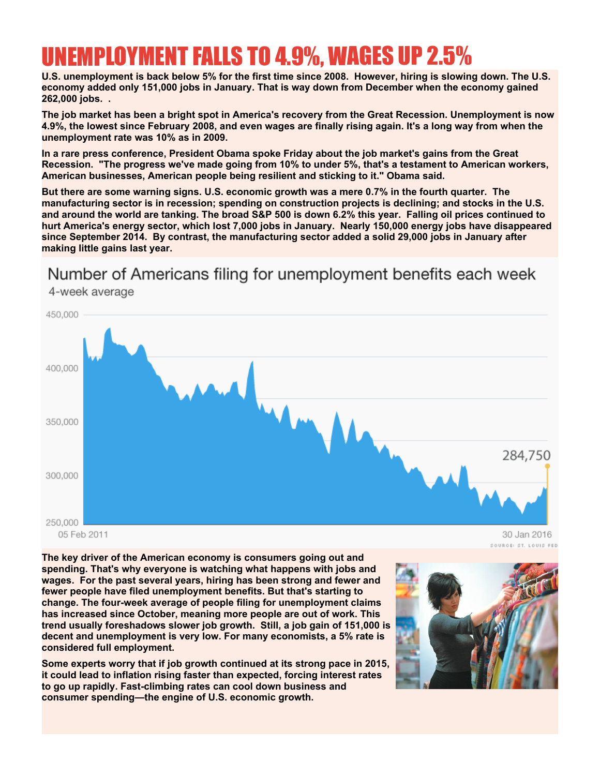### UNEMPLOYMENT FALLS TO 4.9%, WAGES UP 2.5%

**U.S. unemployment is back below 5% for the first time since 2008. However, hiring is slowing down. The U.S. economy added only 151,000 jobs in January. That is way down from December when the economy gained 262,000 jobs. .**

**The job market has been a bright spot in America's recovery from the Great Recession. Unemployment is now 4.9%, the lowest since February 2008, and even wages are finally rising again. It's a long way from when the unemployment rate was 10% as in 2009.**

**In a rare press conference, President Obama spoke Friday about the job market's gains from the Great Recession. "The progress we've made going from 10% to under 5%, that's a testament to American workers, American businesses, American people being resilient and sticking to it." Obama said.**

**But there are some warning signs. U.S. economic growth was a mere 0.7% in the fourth quarter. The manufacturing sector is in recession; spending on construction projects is declining; and stocks in the U.S. and around the world are tanking. The broad S&P 500 is down 6.2% this year. Falling oil prices continued to hurt America's energy sector, which lost 7,000 jobs in January. Nearly 150,000 energy jobs have disappeared since September 2014. By contrast, the manufacturing sector added a solid 29,000 jobs in January after making little gains last year.**

### Number of Americans filing for unemployment benefits each week



**The key driver of the American economy is consumers going out and spending. That's why everyone is watching what happens with jobs and wages. For the past several years, hiring has been strong and fewer and fewer people have filed unemployment benefits. But that's starting to change. The four-week average of people filing for unemployment claims has increased since October, meaning more people are out of work. This trend usually foreshadows slower job growth. Still, a job gain of 151,000 is decent and unemployment is very low. For many economists, a 5% rate is considered full employment.**

**Some experts worry that if job growth continued at its strong pace in 2015, it could lead to inflation rising faster than expected, forcing interest rates to go up rapidly. Fast-climbing rates can cool down business and consumer spending—the engine of U.S. economic growth.**